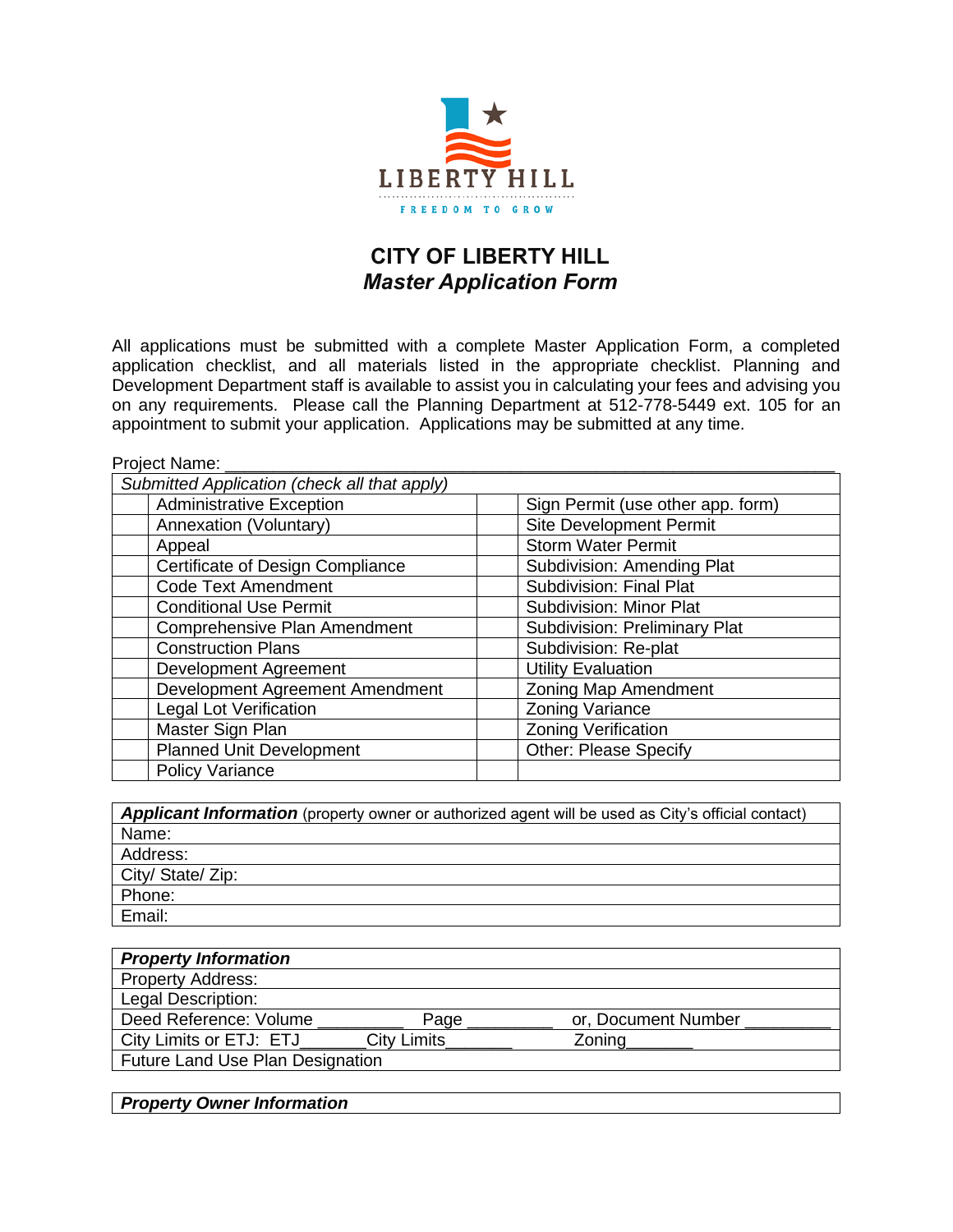

## **CITY OF LIBERTY HILL** *Master Application Form*

All applications must be submitted with a complete Master Application Form, a completed application checklist, and all materials listed in the appropriate checklist. Planning and Development Department staff is available to assist you in calculating your fees and advising you on any requirements. Please call the Planning Department at 512-778-5449 ext. 105 for an appointment to submit your application. Applications may be submitted at any time.

| Project Name:                                |                                      |
|----------------------------------------------|--------------------------------------|
| Submitted Application (check all that apply) |                                      |
| <b>Administrative Exception</b>              | Sign Permit (use other app. form)    |
| Annexation (Voluntary)                       | <b>Site Development Permit</b>       |
| Appeal                                       | <b>Storm Water Permit</b>            |
| Certificate of Design Compliance             | <b>Subdivision: Amending Plat</b>    |
| <b>Code Text Amendment</b>                   | <b>Subdivision: Final Plat</b>       |
| <b>Conditional Use Permit</b>                | <b>Subdivision: Minor Plat</b>       |
| Comprehensive Plan Amendment                 | <b>Subdivision: Preliminary Plat</b> |
| <b>Construction Plans</b>                    | Subdivision: Re-plat                 |
| Development Agreement                        | <b>Utility Evaluation</b>            |
| Development Agreement Amendment              | Zoning Map Amendment                 |
| <b>Legal Lot Verification</b>                | <b>Zoning Variance</b>               |
| Master Sign Plan                             | <b>Zoning Verification</b>           |
| <b>Planned Unit Development</b>              | <b>Other: Please Specify</b>         |
| Policy Variance                              |                                      |

| <b>Applicant Information</b> (property owner or authorized agent will be used as City's official contact) |
|-----------------------------------------------------------------------------------------------------------|
| Name:                                                                                                     |
| Address:                                                                                                  |
| City/ State/ Zip:                                                                                         |
| Phone:                                                                                                    |
| Email:                                                                                                    |

| <b>Property Information</b>             |                    |                     |
|-----------------------------------------|--------------------|---------------------|
| <b>Property Address:</b>                |                    |                     |
| Legal Description:                      |                    |                     |
| Deed Reference: Volume                  | Page               | or, Document Number |
| City Limits or ETJ: ETJ                 | <b>City Limits</b> | Zoning              |
| <b>Future Land Use Plan Designation</b> |                    |                     |
|                                         |                    |                     |

*Property Owner Information*